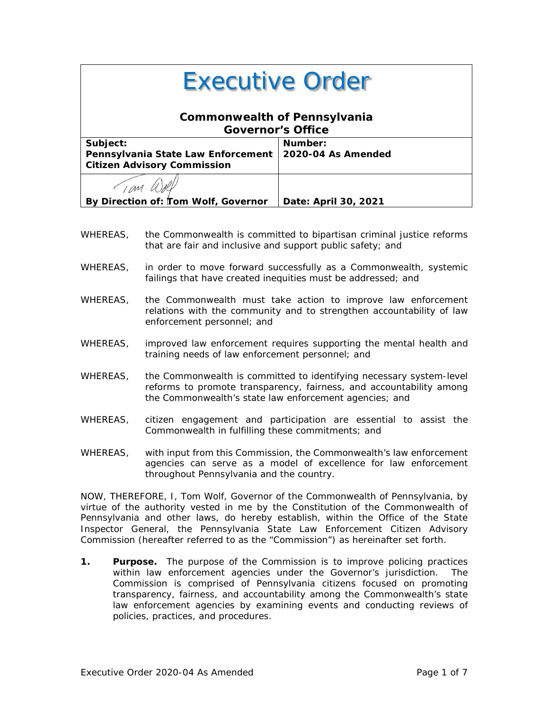| <b>Executive Order</b>                                                               |                               |
|--------------------------------------------------------------------------------------|-------------------------------|
| <b>Commonwealth of Pennsylvania</b><br><b>Governor's Office</b>                      |                               |
| Subject:<br>Pennsylvania State Law Enforcement<br><b>Citizen Advisory Commission</b> | Number:<br>2020-04 As Amended |
|                                                                                      |                               |
| By Direction of: Tom Wolf, Governor                                                  | Date: April 30, 2021          |

- WHEREAS, the Commonwealth is committed to bipartisan criminal justice reforms that are fair and inclusive and support public safety; and
- WHEREAS, in order to move forward successfully as a Commonwealth, systemic failings that have created inequities must be addressed; and
- WHEREAS, the Commonwealth must take action to improve law enforcement relations with the community and to strengthen accountability of law enforcement personnel; and
- WHEREAS, improved law enforcement requires supporting the mental health and training needs of law enforcement personnel; and
- WHEREAS, the Commonwealth is committed to identifying necessary system-level reforms to promote transparency, fairness, and accountability among the Commonwealth's state law enforcement agencies; and
- WHEREAS, citizen engagement and participation are essential to assist the Commonwealth in fulfilling these commitments; and
- WHEREAS, with input from this Commission, the Commonwealth's law enforcement agencies can serve as a model of excellence for law enforcement throughout Pennsylvania and the country.

NOW, THEREFORE, I, Tom Wolf, Governor of the Commonwealth of Pennsylvania, by virtue of the authority vested in me by the Constitution of the Commonwealth of Pennsylvania and other laws, do hereby establish, within the Office of the State Inspector General, the Pennsylvania State Law Enforcement Citizen Advisory Commission (hereafter referred to as the "Commission") as hereinafter set forth.

**1. Purpose.** The purpose of the Commission is to improve policing practices within law enforcement agencies under the Governor's jurisdiction. The Commission is comprised of Pennsylvania citizens focused on promoting transparency, fairness, and accountability among the Commonwealth's state law enforcement agencies by examining events and conducting reviews of policies, practices, and procedures.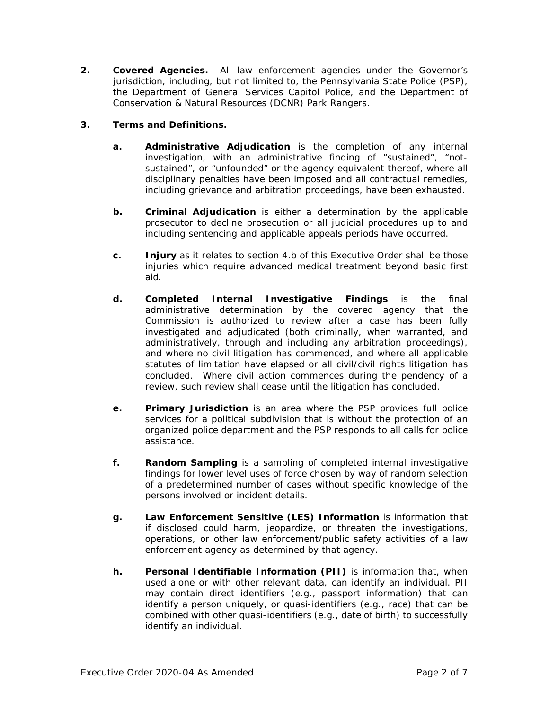**2. Covered Agencies.** All law enforcement agencies under the Governor's jurisdiction, including, but not limited to, the Pennsylvania State Police (PSP), the Department of General Services Capitol Police, and the Department of Conservation & Natural Resources (DCNR) Park Rangers.

# **3. Terms and Definitions.**

- **a. Administrative Adjudication** is the completion of any internal investigation, with an administrative finding of "sustained", "notsustained", or "unfounded" or the agency equivalent thereof, where all disciplinary penalties have been imposed and all contractual remedies, including grievance and arbitration proceedings, have been exhausted.
- **b. Criminal Adjudication** is either a determination by the applicable prosecutor to decline prosecution or all judicial procedures up to and including sentencing and applicable appeals periods have occurred.
- **c. Injury** as it relates to section 4.b of this Executive Order shall be those injuries which require advanced medical treatment beyond basic first aid.
- **d. Completed Internal Investigative Findings** is the final administrative determination by the covered agency that the Commission is authorized to review after a case has been fully investigated and adjudicated (both criminally, when warranted, and administratively, through and including any arbitration proceedings), and where no civil litigation has commenced, and where all applicable statutes of limitation have elapsed or all civil/civil rights litigation has concluded. Where civil action commences during the pendency of a review, such review shall cease until the litigation has concluded.
- **e. Primary Jurisdiction** is an area where the PSP provides full police services for a political subdivision that is without the protection of an organized police department and the PSP responds to all calls for police assistance.
- **f. Random Sampling** is a sampling of completed internal investigative findings for lower level uses of force chosen by way of random selection of a predetermined number of cases without specific knowledge of the persons involved or incident details.
- **g. Law Enforcement Sensitive (LES) Information** is information that if disclosed could harm, jeopardize, or threaten the investigations, operations, or other law enforcement/public safety activities of a law enforcement agency as determined by that agency.
- **h. Personal Identifiable Information (PII)** is information that, when used alone or with other relevant data, can identify an individual. PII may contain direct identifiers (e.g., passport information) that can identify a person uniquely, or quasi-identifiers (e.g., race) that can be combined with other quasi-identifiers (e.g., date of birth) to successfully identify an individual.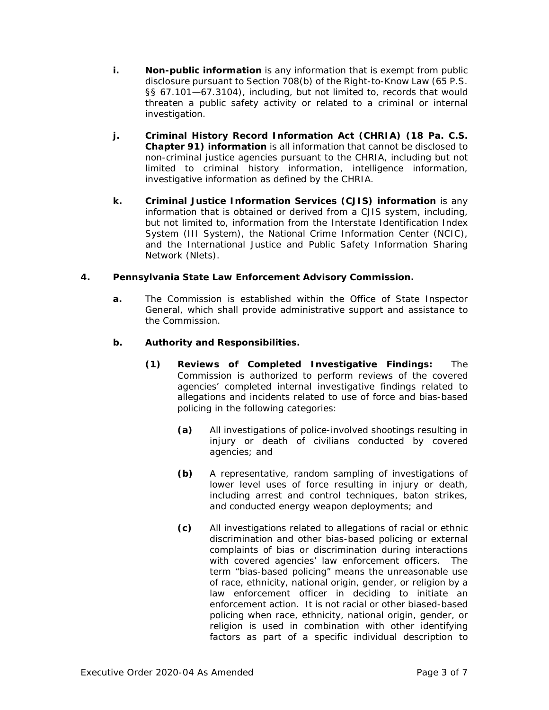- **i. Non-public information** is any information that is exempt from public disclosure pursuant to Section 708(b) of the Right-to-Know Law (65 P.S. §§ 67.101—67.3104), including, but not limited to, records that would threaten a public safety activity or related to a criminal or internal investigation.
- **j. Criminal History Record Information Act (CHRIA) (18 Pa. C.S. Chapter 91) information** is all information that cannot be disclosed to non-criminal justice agencies pursuant to the CHRIA, including but not limited to criminal history information, intelligence information, investigative information as defined by the CHRIA.
- **k. Criminal Justice Information Services (CJIS) information** is any information that is obtained or derived from a CJIS system, including, but not limited to, information from the Interstate Identification Index System (III System), the National Crime Information Center (NCIC), and the International Justice and Public Safety Information Sharing Network (Nlets).

## **4. Pennsylvania State Law Enforcement Advisory Commission.**

**a.** The Commission is established within the Office of State Inspector General, which shall provide administrative support and assistance to the Commission.

## **b. Authority and Responsibilities.**

- **(1) Reviews of Completed Investigative Findings:** The Commission is authorized to perform reviews of the covered agencies' completed internal investigative findings related to allegations and incidents related to use of force and bias-based policing in the following categories:
	- **(a)** All investigations of police-involved shootings resulting in injury or death of civilians conducted by covered agencies; and
	- **(b)** A representative, random sampling of investigations of lower level uses of force resulting in injury or death, including arrest and control techniques, baton strikes, and conducted energy weapon deployments; and
	- **(c)** All investigations related to allegations of racial or ethnic discrimination and other bias-based policing or external complaints of bias or discrimination during interactions with covered agencies' law enforcement officers. The term "bias-based policing" means the unreasonable use of race, ethnicity, national origin, gender, or religion by a law enforcement officer in deciding to initiate an enforcement action. It is not racial or other biased-based policing when race, ethnicity, national origin, gender, or religion is used in combination with other identifying factors as part of a specific individual description to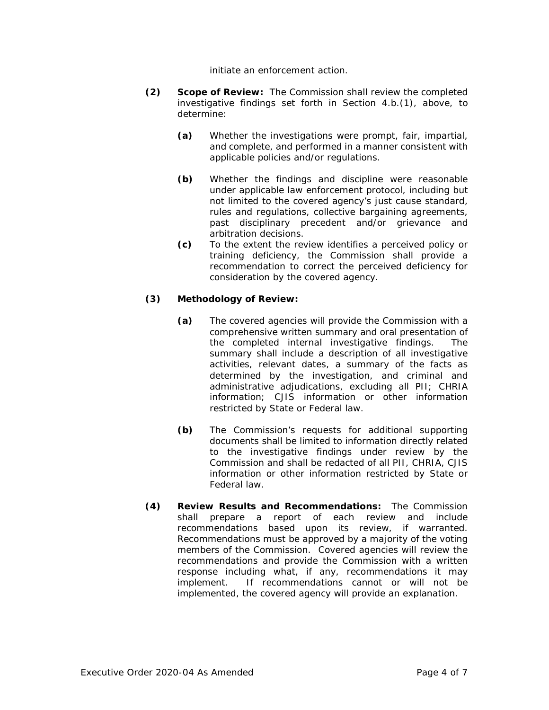initiate an enforcement action.

- **(2) Scope of Review:** The Commission shall review the completed investigative findings set forth in Section 4.b.(1), above, to determine:
	- **(a)** Whether the investigations were prompt, fair, impartial, and complete, and performed in a manner consistent with applicable policies and/or regulations.
	- **(b)** Whether the findings and discipline were reasonable under applicable law enforcement protocol, including but not limited to the covered agency's just cause standard, rules and regulations, collective bargaining agreements, past disciplinary precedent and/or grievance and arbitration decisions.
	- **(c)** To the extent the review identifies a perceived policy or training deficiency, the Commission shall provide a recommendation to correct the perceived deficiency for consideration by the covered agency.

## **(3) Methodology of Review:**

- **(a)** The covered agencies will provide the Commission with a comprehensive written summary and oral presentation of the completed internal investigative findings. The summary shall include a description of all investigative activities, relevant dates, a summary of the facts as determined by the investigation, and criminal and administrative adjudications, excluding all PII; CHRIA information; CJIS information or other information restricted by State or Federal law.
- **(b)** The Commission's requests for additional supporting documents shall be limited to information directly related to the investigative findings under review by the Commission and shall be redacted of all PII, CHRIA, CJIS information or other information restricted by State or Federal law.
- **(4) Review Results and Recommendations:** The Commission shall prepare a report of each review and include recommendations based upon its review, if warranted. Recommendations must be approved by a majority of the voting members of the Commission. Covered agencies will review the recommendations and provide the Commission with a written response including what, if any, recommendations it may implement. If recommendations cannot or will not be implemented, the covered agency will provide an explanation.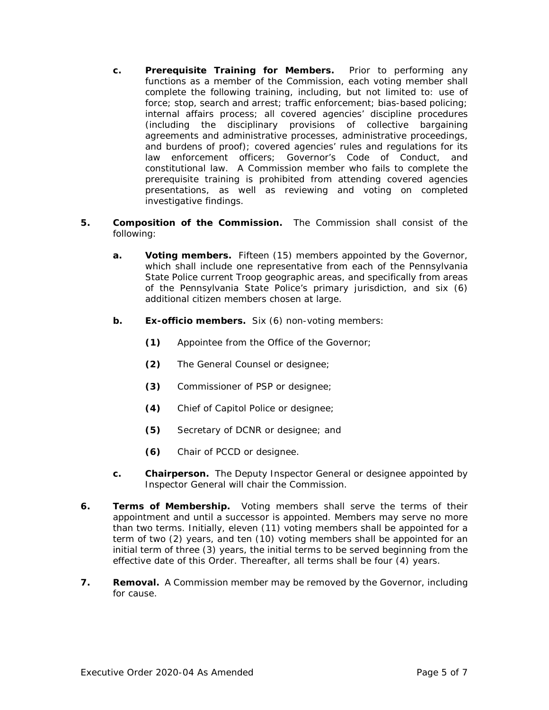- **c. Prerequisite Training for Members.** Prior to performing any functions as a member of the Commission, each voting member shall complete the following training, including, but not limited to: use of force; stop, search and arrest; traffic enforcement; bias-based policing; internal affairs process; all covered agencies' discipline procedures (including the disciplinary provisions of collective bargaining agreements and administrative processes, administrative proceedings, and burdens of proof); covered agencies' rules and regulations for its law enforcement officers; Governor's Code of Conduct, and constitutional law. A Commission member who fails to complete the prerequisite training is prohibited from attending covered agencies presentations, as well as reviewing and voting on completed investigative findings.
- **5. Composition of the Commission.** The Commission shall consist of the following:
	- **a. Voting members.** Fifteen (15) members appointed by the Governor, which shall include one representative from each of the Pennsylvania State Police current Troop geographic areas, and specifically from areas of the Pennsylvania State Police's primary jurisdiction, and six (6) additional citizen members chosen at large.
	- **b. Ex-officio members.** Six (6) non-voting members:
		- **(1)** Appointee from the Office of the Governor;
		- **(2)** The General Counsel or designee;
		- **(3)** Commissioner of PSP or designee;
		- **(4)** Chief of Capitol Police or designee;
		- **(5)** Secretary of DCNR or designee; and
		- **(6)** Chair of PCCD or designee.
	- **c. Chairperson.** The Deputy Inspector General or designee appointed by Inspector General will chair the Commission.
- **6. Terms of Membership.** Voting members shall serve the terms of their appointment and until a successor is appointed. Members may serve no more than two terms. Initially, eleven (11) voting members shall be appointed for a term of two (2) years, and ten (10) voting members shall be appointed for an initial term of three (3) years, the initial terms to be served beginning from the effective date of this Order. Thereafter, all terms shall be four (4) years.
- **7. Removal.** A Commission member may be removed by the Governor, including for cause.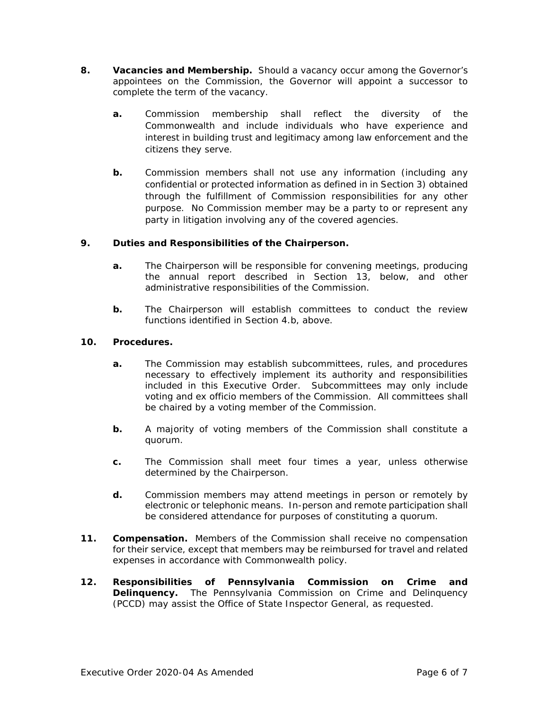- **8. Vacancies and Membership.** Should a vacancy occur among the Governor's appointees on the Commission, the Governor will appoint a successor to complete the term of the vacancy.
	- **a.** Commission membership shall reflect the diversity of the Commonwealth and include individuals who have experience and interest in building trust and legitimacy among law enforcement and the citizens they serve.
	- **b.** Commission members shall not use any information (including any confidential or protected information as defined in in Section 3) obtained through the fulfillment of Commission responsibilities for any other purpose. No Commission member may be a party to or represent any party in litigation involving any of the covered agencies.

## **9. Duties and Responsibilities of the Chairperson.**

- **a.** The Chairperson will be responsible for convening meetings, producing the annual report described in Section 13, below, and other administrative responsibilities of the Commission.
- **b.** The Chairperson will establish committees to conduct the review functions identified in Section 4.b, above.

### **10. Procedures.**

- **a.** The Commission may establish subcommittees, rules, and procedures necessary to effectively implement its authority and responsibilities included in this Executive Order. Subcommittees may only include voting and ex officio members of the Commission. All committees shall be chaired by a voting member of the Commission.
- **b.** A majority of voting members of the Commission shall constitute a quorum.
- **c.** The Commission shall meet four times a year, unless otherwise determined by the Chairperson.
- **d.** Commission members may attend meetings in person or remotely by electronic or telephonic means. In-person and remote participation shall be considered attendance for purposes of constituting a quorum.
- **11. Compensation.** Members of the Commission shall receive no compensation for their service, except that members may be reimbursed for travel and related expenses in accordance with Commonwealth policy.
- **12. Responsibilities of Pennsylvania Commission on Crime and Delinquency.** The Pennsylvania Commission on Crime and Delinquency (PCCD) may assist the Office of State Inspector General, as requested.